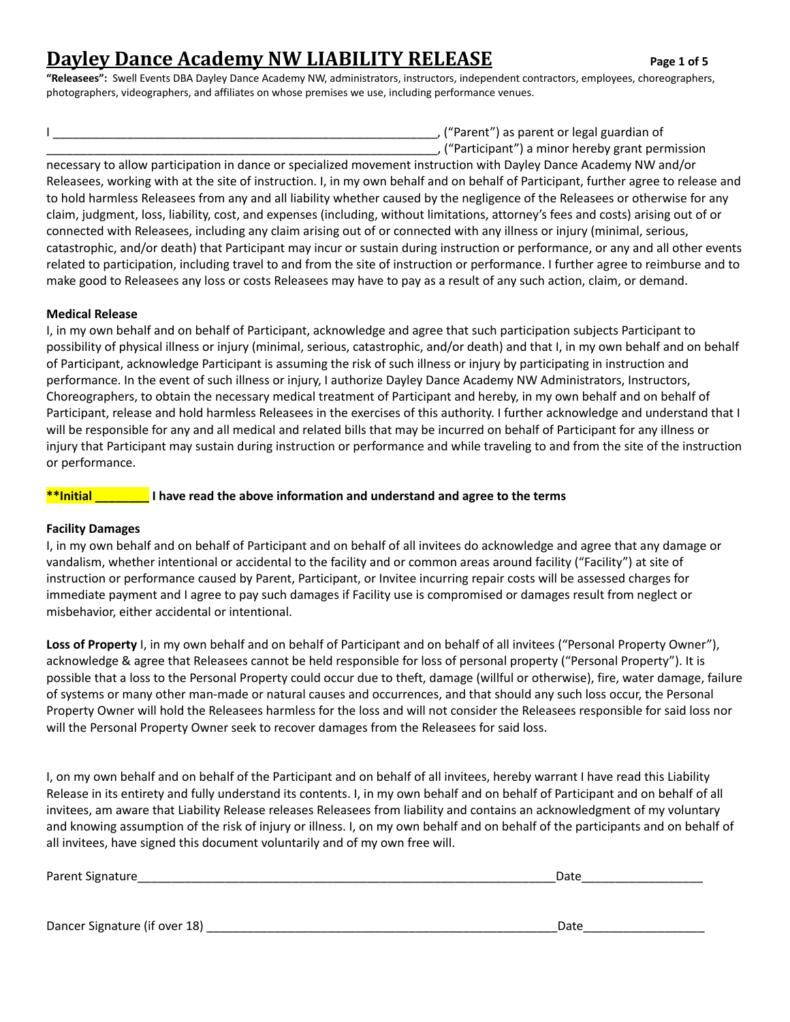# **Dayley Dance Academy NW LIABILITY RELEASE Page <sup>1</sup> of <sup>5</sup>**

**"Releasees":** Swell Events DBA Dayley Dance Academy NW, administrators, instructors, independent contractors, employees, choreographers, photographers, videographers, and affiliates on whose premises we use, including performance venues.

I \_\_\_\_\_\_\_\_\_\_\_\_\_\_\_\_\_\_\_\_\_\_\_\_\_\_\_\_\_\_\_\_\_\_\_\_\_\_\_\_\_\_\_\_\_\_\_\_\_\_\_\_\_\_\_\_\_, ("Parent") as parent or legal guardian of

\_\_\_\_\_\_\_\_\_\_\_\_\_\_\_\_\_\_\_\_\_\_\_\_\_\_\_\_\_\_\_\_\_\_\_\_\_\_\_\_\_\_\_\_\_\_\_\_\_\_\_\_\_\_\_\_\_\_, ("Participant") a minor hereby grant permission necessary to allow participation in dance or specialized movement instruction with Dayley Dance Academy NW and/or Releasees, working with at the site of instruction. I, in my own behalf and on behalf of Participant, further agree to release and to hold harmless Releasees from any and all liability whether caused by the negligence of the Releasees or otherwise for any claim, judgment, loss, liability, cost, and expenses (including, without limitations, attorney's fees and costs) arising out of or connected with Releasees, including any claim arising out of or connected with any illness or injury (minimal, serious, catastrophic, and/or death) that Participant may incur or sustain during instruction or performance, or any and all other events related to participation, including travel to and from the site of instruction or performance. I further agree to reimburse and to make good to Releasees any loss or costs Releasees may have to pay as a result of any such action, claim, or demand.

### **Medical Release**

I, in my own behalf and on behalf of Participant, acknowledge and agree that such participation subjects Participant to possibility of physical illness or injury (minimal, serious, catastrophic, and/or death) and that I, in my own behalf and on behalf of Participant, acknowledge Participant is assuming the risk of such illness or injury by participating in instruction and performance. In the event of such illness or injury, I authorize Dayley Dance Academy NW Administrators, Instructors, Choreographers, to obtain the necessary medical treatment of Participant and hereby, in my own behalf and on behalf of Participant, release and hold harmless Releasees in the exercises of this authority. I further acknowledge and understand that I will be responsible for any and all medical and related bills that may be incurred on behalf of Participant for any illness or injury that Participant may sustain during instruction or performance and while traveling to and from the site of the instruction or performance.

### **\*\*Initial \_\_\_\_\_\_\_\_ I have read the above information and understand and agree to the terms**

### **Facility Damages**

I, in my own behalf and on behalf of Participant and on behalf of all invitees do acknowledge and agree that any damage or vandalism, whether intentional or accidental to the facility and or common areas around facility ("Facility") at site of instruction or performance caused by Parent, Participant, or Invitee incurring repair costs will be assessed charges for immediate payment and I agree to pay such damages if Facility use is compromised or damages result from neglect or misbehavior, either accidental or intentional.

**Loss of Property** I, in my own behalf and on behalf of Participant and on behalf of all invitees ("Personal Property Owner"), acknowledge & agree that Releasees cannot be held responsible for loss of personal property ("Personal Property"). It is possible that a loss to the Personal Property could occur due to theft, damage (willful or otherwise), fire, water damage, failure of systems or many other man-made or natural causes and occurrences, and that should any such loss occur, the Personal Property Owner will hold the Releasees harmless for the loss and will not consider the Releasees responsible for said loss nor will the Personal Property Owner seek to recover damages from the Releasees for said loss.

I, on my own behalf and on behalf of the Participant and on behalf of all invitees, hereby warrant I have read this Liability Release in its entirety and fully understand its contents. I, in my own behalf and on behalf of Participant and on behalf of all invitees, am aware that Liability Release releases Releasees from liability and contains an acknowledgment of my voluntary and knowing assumption of the risk of injury or illness. I, on my own behalf and on behalf of the participants and on behalf of all invitees, have signed this document voluntarily and of my own free will.

| Paren<br>.<br>* Signafur.<br>. . |  |
|----------------------------------|--|
|                                  |  |

Dancer Signature (if over 18) \_\_\_\_\_\_\_\_\_\_\_\_\_\_\_\_\_\_\_\_\_\_\_\_\_\_\_\_\_\_\_\_\_\_\_\_\_\_\_\_\_\_\_\_\_\_\_\_\_\_\_\_Date\_\_\_\_\_\_\_\_\_\_\_\_\_\_\_\_\_\_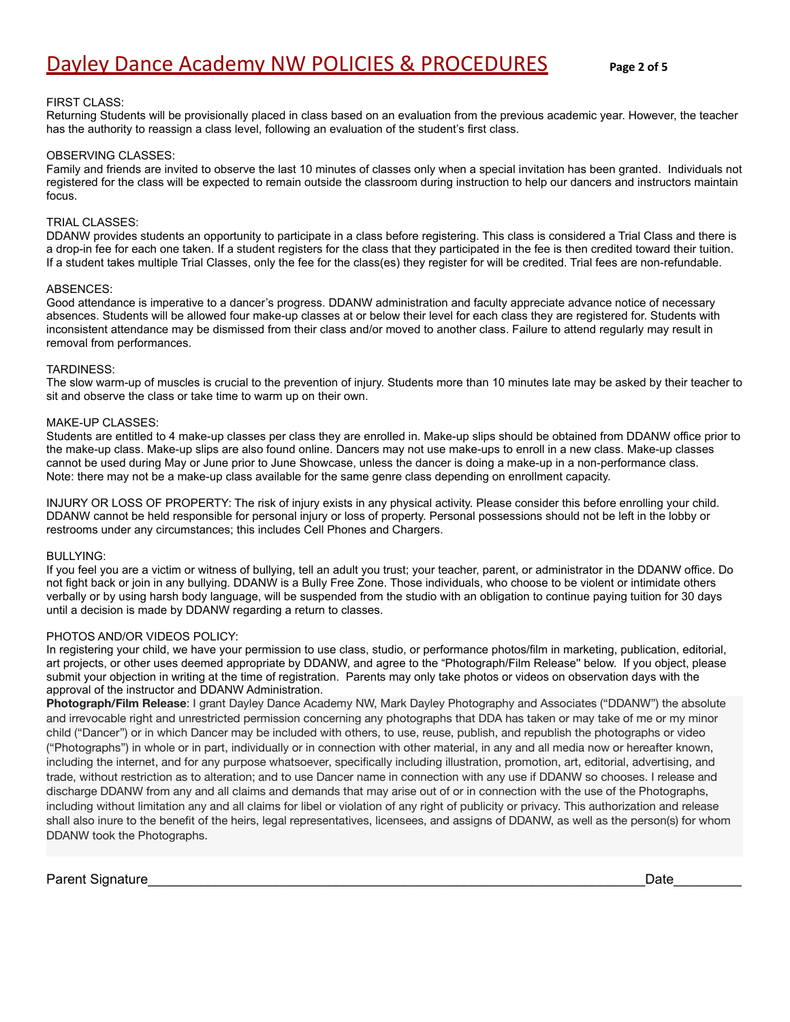#### FIRST CLASS:

Returning Students will be provisionally placed in class based on an evaluation from the previous academic year. However, the teacher has the authority to reassign a class level, following an evaluation of the student's first class.

#### OBSERVING CLASSES:

Family and friends are invited to observe the last 10 minutes of classes only when a special invitation has been granted. Individuals not registered for the class will be expected to remain outside the classroom during instruction to help our dancers and instructors maintain focus.

#### TRIAL CLASSES:

DDANW provides students an opportunity to participate in a class before registering. This class is considered a Trial Class and there is a drop-in fee for each one taken. If a student registers for the class that they participated in the fee is then credited toward their tuition. If a student takes multiple Trial Classes, only the fee for the class(es) they register for will be credited. Trial fees are non-refundable.

#### ABSENCES:

Good attendance is imperative to a dancer's progress. DDANW administration and faculty appreciate advance notice of necessary absences. Students will be allowed four make-up classes at or below their level for each class they are registered for. Students with inconsistent attendance may be dismissed from their class and/or moved to another class. Failure to attend regularly may result in removal from performances.

#### TARDINESS:

The slow warm-up of muscles is crucial to the prevention of injury. Students more than 10 minutes late may be asked by their teacher to sit and observe the class or take time to warm up on their own.

#### MAKE-UP CLASSES:

Students are entitled to 4 make-up classes per class they are enrolled in. Make-up slips should be obtained from DDANW office prior to the make-up class. Make-up slips are also found online. Dancers may not use make-ups to enroll in a new class. Make-up classes cannot be used during May or June prior to June Showcase, unless the dancer is doing a make-up in a non-performance class. Note: there may not be a make-up class available for the same genre class depending on enrollment capacity.

INJURY OR LOSS OF PROPERTY: The risk of injury exists in any physical activity. Please consider this before enrolling your child. DDANW cannot be held responsible for personal injury or loss of property. Personal possessions should not be left in the lobby or restrooms under any circumstances; this includes Cell Phones and Chargers.

#### BULLYING:

If you feel you are a victim or witness of bullying, tell an adult you trust; your teacher, parent, or administrator in the DDANW office. Do not fight back or join in any bullying. DDANW is a Bully Free Zone. Those individuals, who choose to be violent or intimidate others verbally or by using harsh body language, will be suspended from the studio with an obligation to continue paying tuition for 30 days until a decision is made by DDANW regarding a return to classes.

#### PHOTOS AND/OR VIDEOS POLICY:

In registering your child, we have your permission to use class, studio, or performance photos/film in marketing, publication, editorial, art projects, or other uses deemed appropriate by DDANW, and agree to the "Photograph/Film Release'' below. If you object, please submit your objection in writing at the time of registration. Parents may only take photos or videos on observation days with the approval of the instructor and DDANW Administration.

**Photograph/Film Release**: I grant Dayley Dance Academy NW, Mark Dayley Photography and Associates ("DDANW") the absolute and irrevocable right and unrestricted permission concerning any photographs that DDA has taken or may take of me or my minor child ("Dancer") or in which Dancer may be included with others, to use, reuse, publish, and republish the photographs or video ("Photographs") in whole or in part, individually or in connection with other material, in any and all media now or hereafter known, including the internet, and for any purpose whatsoever, specifically including illustration, promotion, art, editorial, advertising, and trade, without restriction as to alteration; and to use Dancer name in connection with any use if DDANW so chooses. I release and discharge DDANW from any and all claims and demands that may arise out of or in connection with the use of the Photographs, including without limitation any and all claims for libel or violation of any right of publicity or privacy. This authorization and release shall also inure to the benefit of the heirs, legal representatives, licensees, and assigns of DDANW, as well as the person(s) for whom DDANW took the Photographs.

Parent Signature\_\_\_\_\_\_\_\_\_\_\_\_\_\_\_\_\_\_\_\_\_\_\_\_\_\_\_\_\_\_\_\_\_\_\_\_\_\_\_\_\_\_\_\_\_\_\_\_\_\_\_\_\_\_\_\_\_\_\_\_\_\_\_\_\_\_Date\_\_\_\_\_\_\_\_\_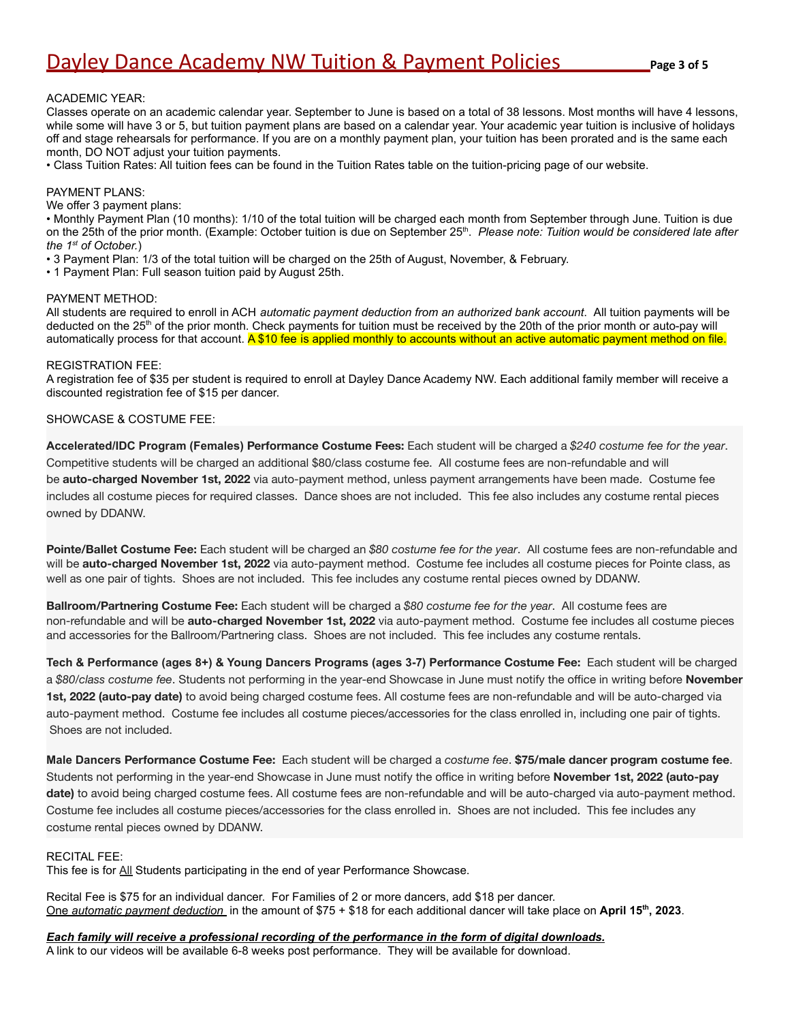#### ACADEMIC YEAR:

Classes operate on an academic calendar year. September to June is based on a total of 38 lessons. Most months will have 4 lessons, while some will have 3 or 5, but tuition payment plans are based on a calendar year. Your academic year tuition is inclusive of holidays off and stage rehearsals for performance. If you are on a monthly payment plan, your tuition has been prorated and is the same each month, DO NOT adjust your tuition payments.

• Class Tuition Rates: All tuition fees can be found in the Tuition Rates table on the tuition-pricing page of our website.

#### PAYMENT PLANS:

We offer 3 payment plans:

• Monthly Payment Plan (10 months): 1/10 of the total tuition will be charged each month from September through June. Tuition is due on the 25th of the prior month. (Example: October tuition is due on September 25<sup>th</sup>. Please note: Tuition would be considered late after *the 1st of October.*)

- 3 Payment Plan: 1/3 of the total tuition will be charged on the 25th of August, November, & February.
- 1 Payment Plan: Full season tuition paid by August 25th.

#### PAYMENT METHOD:

All students are required to enroll in ACH *automatic payment deduction from an authorized bank account*. All tuition payments will be deducted on the 25<sup>th</sup> of the prior month. Check payments for tuition must be received by the 20th of the prior month or auto-pay will automatically process for that account. A \$10 fee is applied monthly to accounts without an active automatic payment method on file.

#### REGISTRATION FEE:

A registration fee of \$35 per student is required to enroll at Dayley Dance Academy NW. Each additional family member will receive a discounted registration fee of \$15 per dancer.

#### SHOWCASE & COSTUME FEE:

**Accelerated/IDC Program (Females) Performance Costume Fees:** Each student will be charged a *\$240 costume fee for the year*. Competitive students will be charged an additional \$80/class costume fee. All costume fees are non-refundable and will be **auto-charged November 1st, 2022** via auto-payment method, unless payment arrangements have been made. Costume fee includes all costume pieces for required classes. Dance shoes are not included. This fee also includes any costume rental pieces owned by DDANW.

**Pointe/Ballet Costume Fee:** Each student will be charged an *\$80 costume fee for the year*. All costume fees are non-refundable and will be **auto-charged November 1st, 2022** via auto-payment method. Costume fee includes all costume pieces for Pointe class, as well as one pair of tights. Shoes are not included. This fee includes any costume rental pieces owned by DDANW.

**Ballroom/Partnering Costume Fee:** Each student will be charged a *\$80 costume fee for the year*. All costume fees are non-refundable and will be **auto-charged November 1st, 2022** via auto-payment method. Costume fee includes all costume pieces and accessories for the Ballroom/Partnering class. Shoes are not included. This fee includes any costume rentals.

**Tech & Performance (ages 8+) & Young Dancers Programs (ages 3-7) Performance Costume Fee:** Each student will be charged a *\$80/class costume fee*. Students not performing in the year-end Showcase in June must notify the office in writing before **November 1st, 2022 (auto-pay date)** to avoid being charged costume fees. All costume fees are non-refundable and will be auto-charged via auto-payment method. Costume fee includes all costume pieces/accessories for the class enrolled in, including one pair of tights. Shoes are not included.

**Male Dancers Performance Costume Fee:** Each student will be charged a *costume fee*. **\$75/male dancer program costume fee**. Students not performing in the year-end Showcase in June must notify the office in writing before **November 1st, 2022 (auto-pay date)** to avoid being charged costume fees. All costume fees are non-refundable and will be auto-charged via auto-payment method. Costume fee includes all costume pieces/accessories for the class enrolled in. Shoes are not included. This fee includes any costume rental pieces owned by DDANW.

#### RECITAL FEE:

This fee is for All Students participating in the end of year Performance Showcase.

Recital Fee is \$75 for an individual dancer. For Families of 2 or more dancers, add \$18 per dancer. One *automatic payment deduction* in the amount of \$75 + \$18 for each additional dancer will take place on **April 15th , 2023**.

#### *Each family will receive a professional recording of the performance in the form of digital downloads.*

A link to our videos will be available 6-8 weeks post performance. They will be available for download.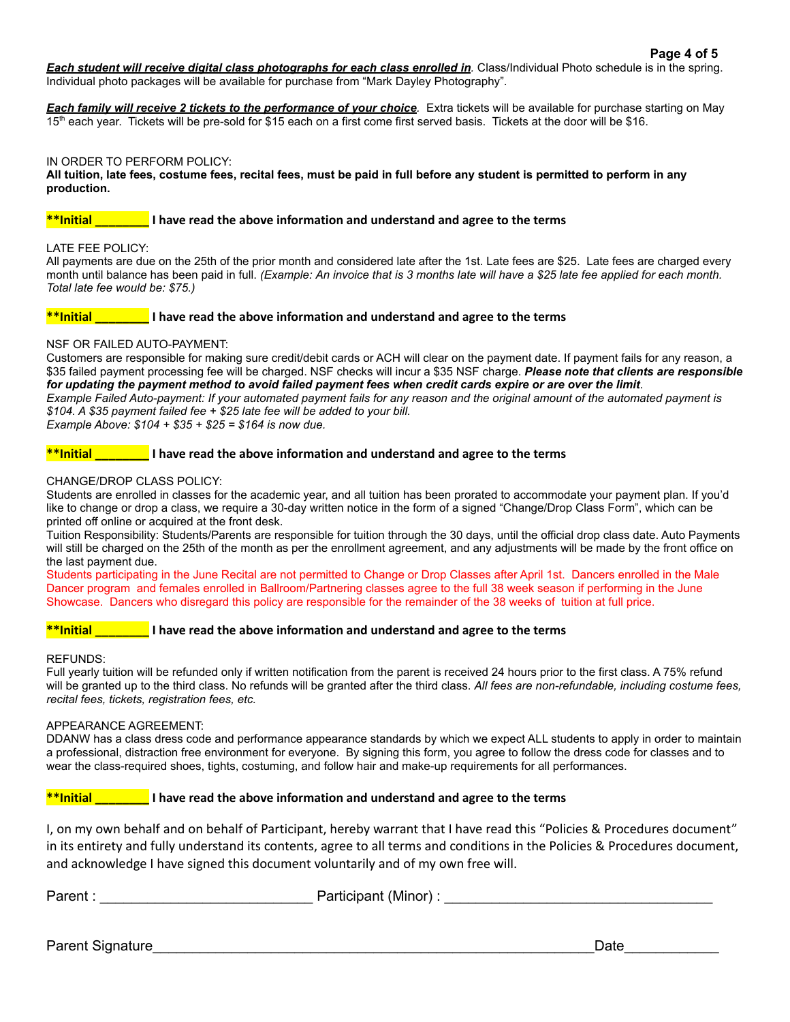**Each student will receive digital class photographs for each class enrolled in**. Class/Individual Photo schedule is in the spring. Individual photo packages will be available for purchase from "Mark Dayley Photography".

*Each family will receive 2 tickets to the performance of your choice.* Extra tickets will be available for purchase starting on May 15<sup>th</sup> each year. Tickets will be pre-sold for \$15 each on a first come first served basis. Tickets at the door will be \$16.

#### IN ORDER TO PERFORM POLICY:

#### **All tuition, late fees, costume fees, recital fees, must be paid in full before any student is permitted to perform in any production.**

#### **\*\*Initial \_\_\_\_\_\_\_\_ I have read the above information and understand and agree to the terms**

#### LATE FEE POLICY:

All payments are due on the 25th of the prior month and considered late after the 1st. Late fees are \$25. Late fees are charged every month until balance has been paid in full. *(Example: An invoice that is 3 months late will have a \$25 late fee applied for each month. Total late fee would be: \$75.)*

#### **\*\*Initial \_\_\_\_\_\_\_\_ I have read the above information and understand and agree to the terms**

#### NSF OR FAILED AUTO-PAYMENT:

Customers are responsible for making sure credit/debit cards or ACH will clear on the payment date. If payment fails for any reason, a \$35 failed payment processing fee will be charged. NSF checks will incur a \$35 NSF charge. *Please note that clients are responsible for updating the payment method to avoid failed payment fees when credit cards expire or are over the limit*. *Example Failed Auto-payment: If your automated payment fails for any reason and the original amount of the automated payment is \$104. A \$35 payment failed fee + \$25 late fee will be added to your bill. Example Above: \$104 + \$35 + \$25 = \$164 is now due.*

**\*\*Initial \_\_\_\_\_\_\_\_ I have read the above information and understand and agree to the terms**

#### CHANGE/DROP CLASS POLICY:

Students are enrolled in classes for the academic year, and all tuition has been prorated to accommodate your payment plan. If you'd like to change or drop a class, we require a 30-day written notice in the form of a signed "Change/Drop Class Form", which can be printed off online or acquired at the front desk.

Tuition Responsibility: Students/Parents are responsible for tuition through the 30 days, until the official drop class date. Auto Payments will still be charged on the 25th of the month as per the enrollment agreement, and any adjustments will be made by the front office on the last payment due.

Students participating in the June Recital are not permitted to Change or Drop Classes after April 1st. Dancers enrolled in the Male Dancer program and females enrolled in Ballroom/Partnering classes agree to the full 38 week season if performing in the June Showcase. Dancers who disregard this policy are responsible for the remainder of the 38 weeks of tuition at full price.

#### **\*\*Initial \_\_\_\_\_\_\_\_ I have read the above information and understand and agree to the terms**

#### REFUNDS:

Full yearly tuition will be refunded only if written notification from the parent is received 24 hours prior to the first class. A 75% refund will be granted up to the third class. No refunds will be granted after the third class. *All fees are non-refundable, including costume fees, recital fees, tickets, registration fees, etc.*

#### APPEARANCE AGREEMENT:

DDANW has a class dress code and performance appearance standards by which we expect ALL students to apply in order to maintain a professional, distraction free environment for everyone. By signing this form, you agree to follow the dress code for classes and to wear the class-required shoes, tights, costuming, and follow hair and make-up requirements for all performances.

#### **\*\*Initial \_\_\_\_\_\_\_\_ I have read the above information and understand and agree to the terms**

I, on my own behalf and on behalf of Participant, hereby warrant that I have read this "Policies & Procedures document" in its entirety and fully understand its contents, agree to all terms and conditions in the Policies & Procedures document, and acknowledge I have signed this document voluntarily and of my own free will.

Parent : \_\_\_\_\_\_\_\_\_\_\_\_\_\_\_\_\_\_\_\_\_\_\_\_\_\_\_ Participant (Minor) : \_\_\_\_\_\_\_\_\_\_\_\_\_\_\_\_\_\_\_\_\_\_\_\_\_\_\_\_\_\_\_\_\_\_

Parent Signature et al. 2008 and 2009 and 2009 and 2009 and 2009 and 2009 and 2009 and 2009 and 2009 and 2009 and 2009 and 2009 and 2009 and 2009 and 2009 and 2009 and 2009 and 2009 and 2009 and 2009 and 2009 and 2009 and